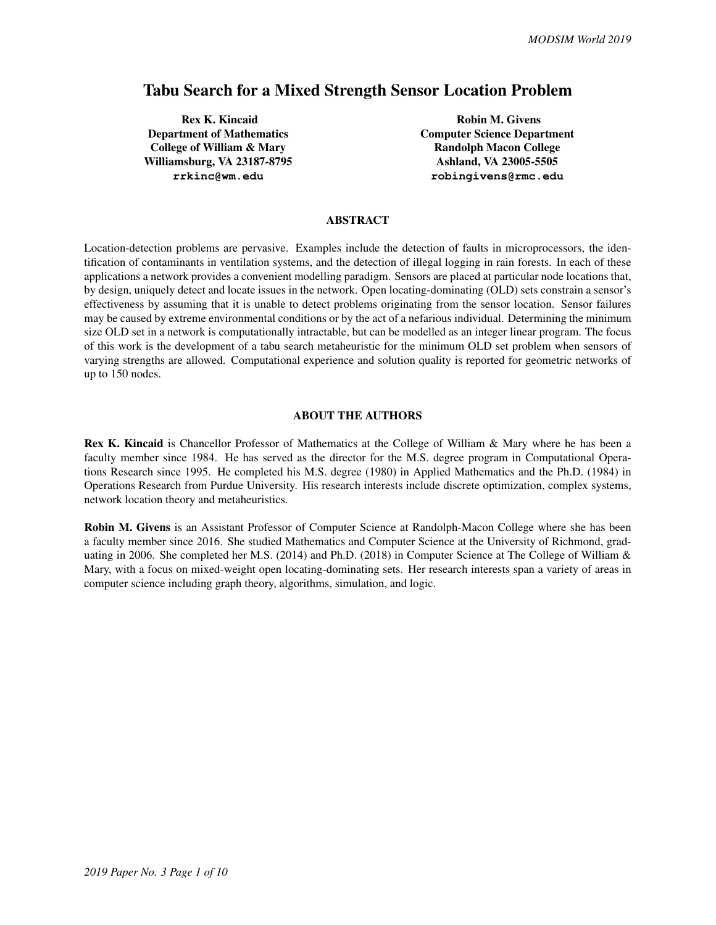# Tabu Search for a Mixed Strength Sensor Location Problem

Rex K. Kincaid Department of Mathematics College of William & Mary Williamsburg, VA 23187-8795 **rrkinc@wm.edu**

Robin M. Givens Computer Science Department Randolph Macon College Ashland, VA 23005-5505 **robingivens@rmc.edu**

# ABSTRACT

Location-detection problems are pervasive. Examples include the detection of faults in microprocessors, the identification of contaminants in ventilation systems, and the detection of illegal logging in rain forests. In each of these applications a network provides a convenient modelling paradigm. Sensors are placed at particular node locations that, by design, uniquely detect and locate issues in the network. Open locating-dominating (OLD) sets constrain a sensor's effectiveness by assuming that it is unable to detect problems originating from the sensor location. Sensor failures may be caused by extreme environmental conditions or by the act of a nefarious individual. Determining the minimum size OLD set in a network is computationally intractable, but can be modelled as an integer linear program. The focus of this work is the development of a tabu search metaheuristic for the minimum OLD set problem when sensors of varying strengths are allowed. Computational experience and solution quality is reported for geometric networks of up to 150 nodes.

#### ABOUT THE AUTHORS

Rex K. Kincaid is Chancellor Professor of Mathematics at the College of William & Mary where he has been a faculty member since 1984. He has served as the director for the M.S. degree program in Computational Operations Research since 1995. He completed his M.S. degree (1980) in Applied Mathematics and the Ph.D. (1984) in Operations Research from Purdue University. His research interests include discrete optimization, complex systems, network location theory and metaheuristics.

Robin M. Givens is an Assistant Professor of Computer Science at Randolph-Macon College where she has been a faculty member since 2016. She studied Mathematics and Computer Science at the University of Richmond, graduating in 2006. She completed her M.S. (2014) and Ph.D. (2018) in Computer Science at The College of William & Mary, with a focus on mixed-weight open locating-dominating sets. Her research interests span a variety of areas in computer science including graph theory, algorithms, simulation, and logic.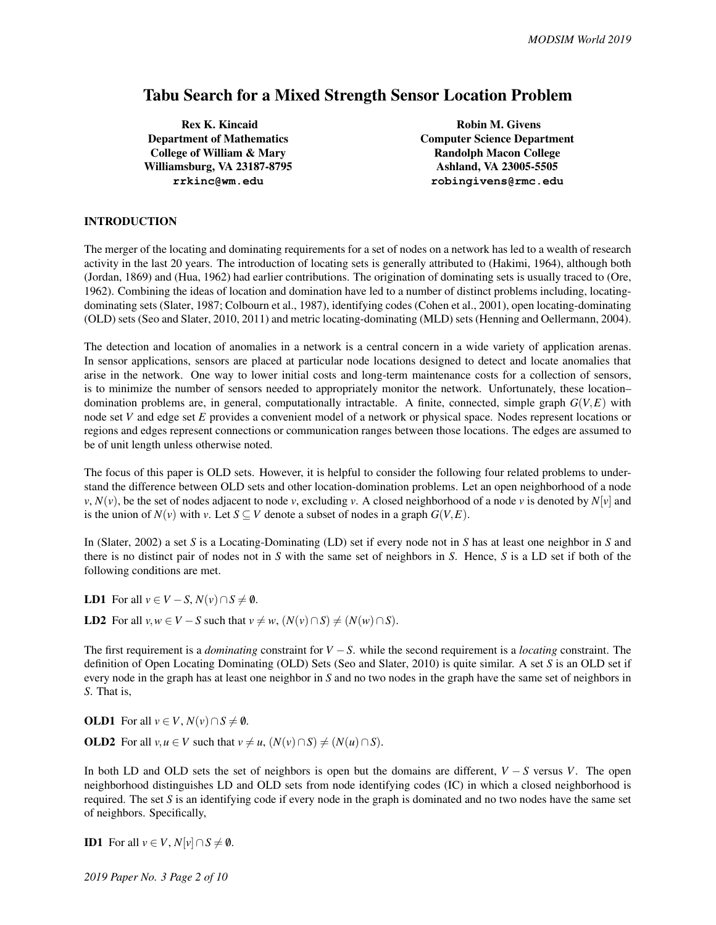# Tabu Search for a Mixed Strength Sensor Location Problem

Rex K. Kincaid Department of Mathematics College of William & Mary Williamsburg, VA 23187-8795 **rrkinc@wm.edu**

Robin M. Givens Computer Science Department Randolph Macon College Ashland, VA 23005-5505 **robingivens@rmc.edu**

## INTRODUCTION

The merger of the locating and dominating requirements for a set of nodes on a network has led to a wealth of research activity in the last 20 years. The introduction of locating sets is generally attributed to (Hakimi, 1964), although both (Jordan, 1869) and (Hua, 1962) had earlier contributions. The origination of dominating sets is usually traced to (Ore, 1962). Combining the ideas of location and domination have led to a number of distinct problems including, locatingdominating sets (Slater, 1987; Colbourn et al., 1987), identifying codes (Cohen et al., 2001), open locating-dominating (OLD) sets (Seo and Slater, 2010, 2011) and metric locating-dominating (MLD) sets (Henning and Oellermann, 2004).

The detection and location of anomalies in a network is a central concern in a wide variety of application arenas. In sensor applications, sensors are placed at particular node locations designed to detect and locate anomalies that arise in the network. One way to lower initial costs and long-term maintenance costs for a collection of sensors, is to minimize the number of sensors needed to appropriately monitor the network. Unfortunately, these location– domination problems are, in general, computationally intractable. A finite, connected, simple graph *G*(*V*,*E*) with node set *V* and edge set *E* provides a convenient model of a network or physical space. Nodes represent locations or regions and edges represent connections or communication ranges between those locations. The edges are assumed to be of unit length unless otherwise noted.

The focus of this paper is OLD sets. However, it is helpful to consider the following four related problems to understand the difference between OLD sets and other location-domination problems. Let an open neighborhood of a node *v*,  $N(v)$ , be the set of nodes adjacent to node *v*, excluding *v*. A closed neighborhood of a node *v* is denoted by  $N[v]$  and is the union of  $N(v)$  with *v*. Let  $S \subseteq V$  denote a subset of nodes in a graph  $G(V, E)$ .

In (Slater, 2002) a set *S* is a Locating-Dominating (LD) set if every node not in *S* has at least one neighbor in *S* and there is no distinct pair of nodes not in *S* with the same set of neighbors in *S*. Hence, *S* is a LD set if both of the following conditions are met.

**LD1** For all  $v \in V - S$ ,  $N(v) \cap S \neq \emptyset$ .

**LD2** For all  $v, w \in V - S$  such that  $v \neq w$ ,  $(N(v) \cap S) \neq (N(w) \cap S)$ .

The first requirement is a *dominating* constraint for *V* −*S*. while the second requirement is a *locating* constraint. The definition of Open Locating Dominating (OLD) Sets (Seo and Slater, 2010) is quite similar. A set *S* is an OLD set if every node in the graph has at least one neighbor in *S* and no two nodes in the graph have the same set of neighbors in *S*. That is,

**OLD1** For all  $v \in V$ ,  $N(v) \cap S \neq \emptyset$ . **OLD2** For all  $v, u \in V$  such that  $v \neq u$ ,  $(N(v) \cap S) \neq (N(u) \cap S)$ .

In both LD and OLD sets the set of neighbors is open but the domains are different, *V* − *S* versus *V*. The open neighborhood distinguishes LD and OLD sets from node identifying codes (IC) in which a closed neighborhood is required. The set *S* is an identifying code if every node in the graph is dominated and no two nodes have the same set of neighbors. Specifically,

**ID1** For all  $v \in V$ ,  $N[v] \cap S \neq \emptyset$ .

*2019 Paper No. 3 Page 2 of 10*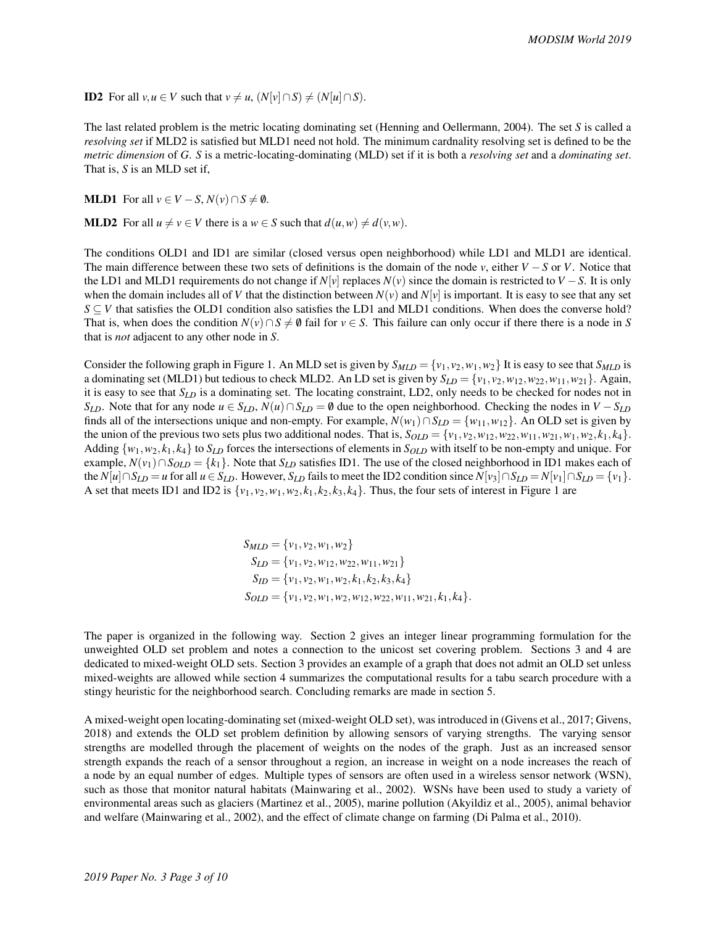**ID2** For all  $v, u \in V$  such that  $v \neq u$ ,  $(N[v] \cap S) \neq (N[u] \cap S)$ .

The last related problem is the metric locating dominating set (Henning and Oellermann, 2004). The set *S* is called a *resolving set* if MLD2 is satisfied but MLD1 need not hold. The minimum cardnality resolving set is defined to be the *metric dimension* of *G*. *S* is a metric-locating-dominating (MLD) set if it is both a *resolving set* and a *dominating set*. That is, *S* is an MLD set if,

**MLD1** For all  $v \in V - S$ ,  $N(v) \cap S \neq \emptyset$ .

**MLD2** For all  $u \neq v \in V$  there is a  $w \in S$  such that  $d(u, w) \neq d(v, w)$ .

The conditions OLD1 and ID1 are similar (closed versus open neighborhood) while LD1 and MLD1 are identical. The main difference between these two sets of definitions is the domain of the node *v*, either *V* −*S* or *V*. Notice that the LD1 and MLD1 requirements do not change if  $N[v]$  replaces  $N(v)$  since the domain is restricted to  $V - S$ . It is only when the domain includes all of *V* that the distinction between  $N(v)$  and  $N[v]$  is important. It is easy to see that any set  $S \subseteq V$  that satisfies the OLD1 condition also satisfies the LD1 and MLD1 conditions. When does the converse hold? That is, when does the condition  $N(v) \cap S \neq \emptyset$  fail for  $v \in S$ . This failure can only occur if there there is a node in *S* that is *not* adjacent to any other node in *S*.

Consider the following graph in Figure 1. An MLD set is given by  $S_{MLD} = \{v_1, v_2, w_1, w_2\}$  It is easy to see that  $S_{MLD}$  is a dominating set (MLD1) but tedious to check MLD2. An LD set is given by  $S_{LD} = \{v_1, v_2, w_{12}, w_{22}, w_{11}, w_{21}\}$ . Again, it is easy to see that *SLD* is a dominating set. The locating constraint, LD2, only needs to be checked for nodes not in *S*<sub>*LD*</sub>. Note that for any node  $u \in S_{LD}$ ,  $N(u) \cap S_{LD} = \emptyset$  due to the open neighborhood. Checking the nodes in  $V - S_{LD}$ finds all of the intersections unique and non-empty. For example,  $N(w_1) \cap S_{LD} = \{w_{11}, w_{12}\}$ . An OLD set is given by the union of the previous two sets plus two additional nodes. That is,  $S_{OLD} = \{v_1, v_2, w_{12}, w_{22}, w_{11}, w_{21}, w_1, w_2, k_1, k_4\}$ . Adding  $\{w_1, w_2, k_1, k_4\}$  to  $S_{LD}$  forces the intersections of elements in  $S_{OLD}$  with itself to be non-empty and unique. For example,  $N(v_1) ∩ S_{OLD} = \{k_1\}$ . Note that  $S_{LD}$  satisfies ID1. The use of the closed neighborhood in ID1 makes each of the  $N[u] \cap S_{LD} = u$  for all  $u \in S_{LD}$ . However,  $S_{LD}$  fails to meet the ID2 condition since  $N[v_3] \cap S_{LD} = N[v_1] \cap S_{LD} = \{v_1\}$ . A set that meets ID1 and ID2 is  $\{v_1, v_2, w_1, w_2, k_1, k_2, k_3, k_4\}$ . Thus, the four sets of interest in Figure 1 are

$$
S_{MLD} = \{v_1, v_2, w_1, w_2\}
$$
  
\n
$$
S_{LD} = \{v_1, v_2, w_{12}, w_{22}, w_{11}, w_{21}\}
$$
  
\n
$$
S_{ID} = \{v_1, v_2, w_1, w_2, k_1, k_2, k_3, k_4\}
$$
  
\n
$$
S_{OLD} = \{v_1, v_2, w_1, w_2, w_{12}, w_{22}, w_{11}, w_{21}, k_1, k_4\}.
$$

The paper is organized in the following way. Section 2 gives an integer linear programming formulation for the unweighted OLD set problem and notes a connection to the unicost set covering problem. Sections 3 and 4 are dedicated to mixed-weight OLD sets. Section 3 provides an example of a graph that does not admit an OLD set unless mixed-weights are allowed while section 4 summarizes the computational results for a tabu search procedure with a stingy heuristic for the neighborhood search. Concluding remarks are made in section 5.

A mixed-weight open locating-dominating set (mixed-weight OLD set), was introduced in (Givens et al., 2017; Givens, 2018) and extends the OLD set problem definition by allowing sensors of varying strengths. The varying sensor strengths are modelled through the placement of weights on the nodes of the graph. Just as an increased sensor strength expands the reach of a sensor throughout a region, an increase in weight on a node increases the reach of a node by an equal number of edges. Multiple types of sensors are often used in a wireless sensor network (WSN), such as those that monitor natural habitats (Mainwaring et al., 2002). WSNs have been used to study a variety of environmental areas such as glaciers (Martinez et al., 2005), marine pollution (Akyildiz et al., 2005), animal behavior and welfare (Mainwaring et al., 2002), and the effect of climate change on farming (Di Palma et al., 2010).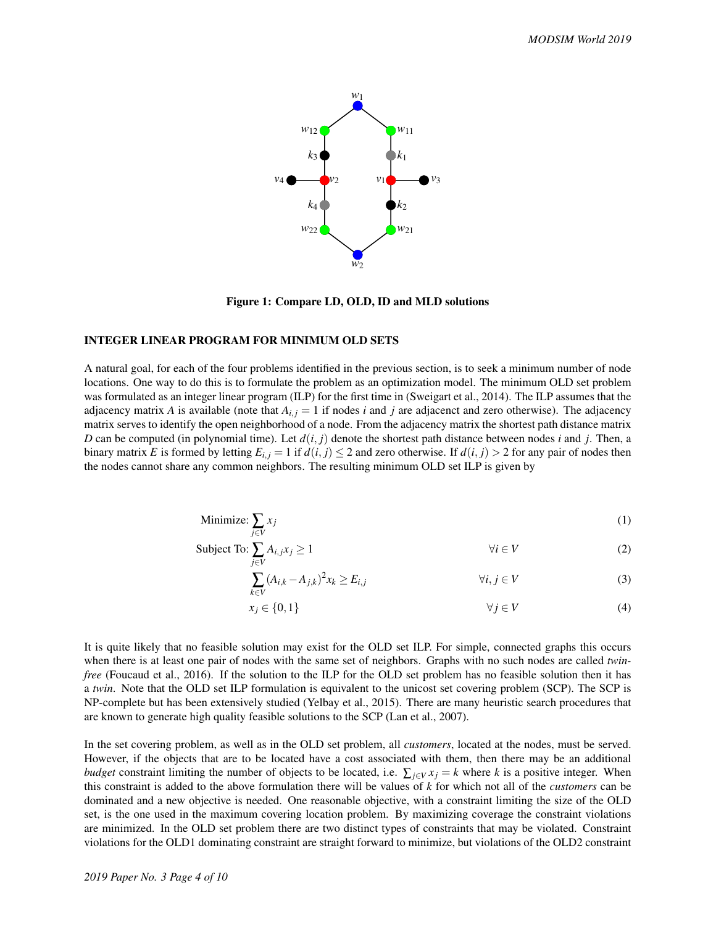

Figure 1: Compare LD, OLD, ID and MLD solutions

#### INTEGER LINEAR PROGRAM FOR MINIMUM OLD SETS

A natural goal, for each of the four problems identified in the previous section, is to seek a minimum number of node locations. One way to do this is to formulate the problem as an optimization model. The minimum OLD set problem was formulated as an integer linear program (ILP) for the first time in (Sweigart et al., 2014). The ILP assumes that the adjacency matrix *A* is available (note that  $A_{i,j} = 1$  if nodes *i* and *j* are adjacenct and zero otherwise). The adjacency matrix serves to identify the open neighborhood of a node. From the adjacency matrix the shortest path distance matrix *D* can be computed (in polynomial time). Let  $d(i, j)$  denote the shortest path distance between nodes *i* and *j*. Then, a binary matrix *E* is formed by letting  $E_{i,j} = 1$  if  $d(i, j) \le 2$  and zero otherwise. If  $d(i, j) > 2$  for any pair of nodes then the nodes cannot share any common neighbors. The resulting minimum OLD set ILP is given by

Minimize: 
$$
\sum_{j \in V} x_j
$$
 (1)

Subject To: 
$$
\sum_{j \in V} A_{i,j} x_j \ge 1 \qquad \forall i \in V
$$
 (2)

$$
\sum_{k \in V} (A_{i,k} - A_{j,k})^2 x_k \ge E_{i,j} \qquad \forall i, j \in V
$$
 (3)

$$
x_j \in \{0, 1\} \qquad \qquad \forall j \in V \tag{4}
$$

It is quite likely that no feasible solution may exist for the OLD set ILP. For simple, connected graphs this occurs when there is at least one pair of nodes with the same set of neighbors. Graphs with no such nodes are called *twinfree* (Foucaud et al., 2016). If the solution to the ILP for the OLD set problem has no feasible solution then it has a *twin*. Note that the OLD set ILP formulation is equivalent to the unicost set covering problem (SCP). The SCP is NP-complete but has been extensively studied (Yelbay et al., 2015). There are many heuristic search procedures that are known to generate high quality feasible solutions to the SCP (Lan et al., 2007).

In the set covering problem, as well as in the OLD set problem, all *customers*, located at the nodes, must be served. However, if the objects that are to be located have a cost associated with them, then there may be an additional *budget* constraint limiting the number of objects to be located, i.e.  $\sum_{i \in V} x_i = k$  where *k* is a positive integer. When this constraint is added to the above formulation there will be values of *k* for which not all of the *customers* can be dominated and a new objective is needed. One reasonable objective, with a constraint limiting the size of the OLD set, is the one used in the maximum covering location problem. By maximizing coverage the constraint violations are minimized. In the OLD set problem there are two distinct types of constraints that may be violated. Constraint violations for the OLD1 dominating constraint are straight forward to minimize, but violations of the OLD2 constraint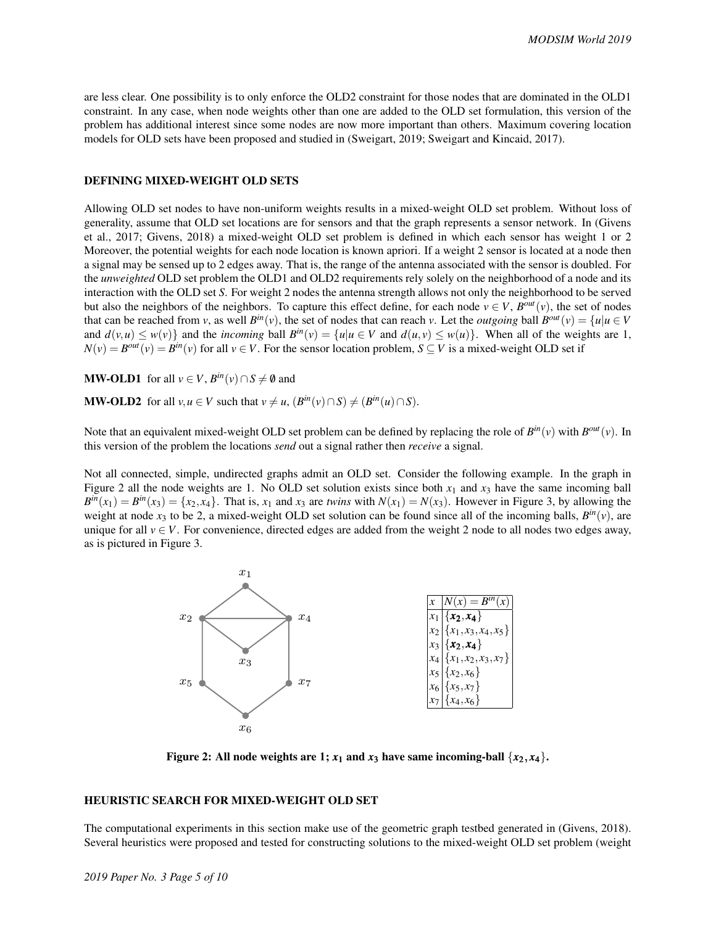are less clear. One possibility is to only enforce the OLD2 constraint for those nodes that are dominated in the OLD1 constraint. In any case, when node weights other than one are added to the OLD set formulation, this version of the problem has additional interest since some nodes are now more important than others. Maximum covering location models for OLD sets have been proposed and studied in (Sweigart, 2019; Sweigart and Kincaid, 2017).

#### DEFINING MIXED-WEIGHT OLD SETS

Allowing OLD set nodes to have non-uniform weights results in a mixed-weight OLD set problem. Without loss of generality, assume that OLD set locations are for sensors and that the graph represents a sensor network. In (Givens et al., 2017; Givens, 2018) a mixed-weight OLD set problem is defined in which each sensor has weight 1 or 2 Moreover, the potential weights for each node location is known apriori. If a weight 2 sensor is located at a node then a signal may be sensed up to 2 edges away. That is, the range of the antenna associated with the sensor is doubled. For the *unweighted* OLD set problem the OLD1 and OLD2 requirements rely solely on the neighborhood of a node and its interaction with the OLD set *S*. For weight 2 nodes the antenna strength allows not only the neighborhood to be served but also the neighbors of the neighbors. To capture this effect define, for each node  $v \in V$ ,  $B^{out}(v)$ , the set of nodes that can be reached from *v*, as well  $B^{in}(v)$ , the set of nodes that can reach *v*. Let the *outgoing* ball  $B^{out}(v) = \{u | u \in V\}$ and  $d(v, u) \le w(v)$  and the *incoming* ball  $B^{in}(v) = \{u | u \in V \text{ and } d(u, v) \le w(u)\}\$ . When all of the weights are 1,  $N(v) = B^{out}(v) = B^{in}(v)$  for all  $v \in V$ . For the sensor location problem,  $S \subseteq V$  is a mixed-weight OLD set if

**MW-OLD1** for all  $v \in V$ ,  $B^{in}(v) \cap S \neq \emptyset$  and

**MW-OLD2** for all  $v, u \in V$  such that  $v \neq u$ ,  $(B^{in}(v) \cap S) \neq (B^{in}(u) \cap S)$ .

Note that an equivalent mixed-weight OLD set problem can be defined by replacing the role of  $B^{in}(v)$  with  $B^{out}(v)$ . In this version of the problem the locations *send* out a signal rather then *receive* a signal.

Not all connected, simple, undirected graphs admit an OLD set. Consider the following example. In the graph in Figure 2 all the node weights are 1. No OLD set solution exists since both  $x_1$  and  $x_3$  have the same incoming ball  $B^{in}(x_1) = B^{in}(x_3) = \{x_2, x_4\}$ . That is,  $x_1$  and  $x_3$  are *twins* with  $N(x_1) = N(x_3)$ . However in Figure 3, by allowing the weight at node  $x_3$  to be 2, a mixed-weight OLD set solution can be found since all of the incoming balls,  $B^{in}(v)$ , are unique for all  $v \in V$ . For convenience, directed edges are added from the weight 2 node to all nodes two edges away, as is pictured in Figure 3.



Figure 2: All node weights are 1;  $x_1$  and  $x_3$  have same incoming-ball  $\{x_2, x_4\}$ .

# HEURISTIC SEARCH FOR MIXED-WEIGHT OLD SET

The computational experiments in this section make use of the geometric graph testbed generated in (Givens, 2018). Several heuristics were proposed and tested for constructing solutions to the mixed-weight OLD set problem (weight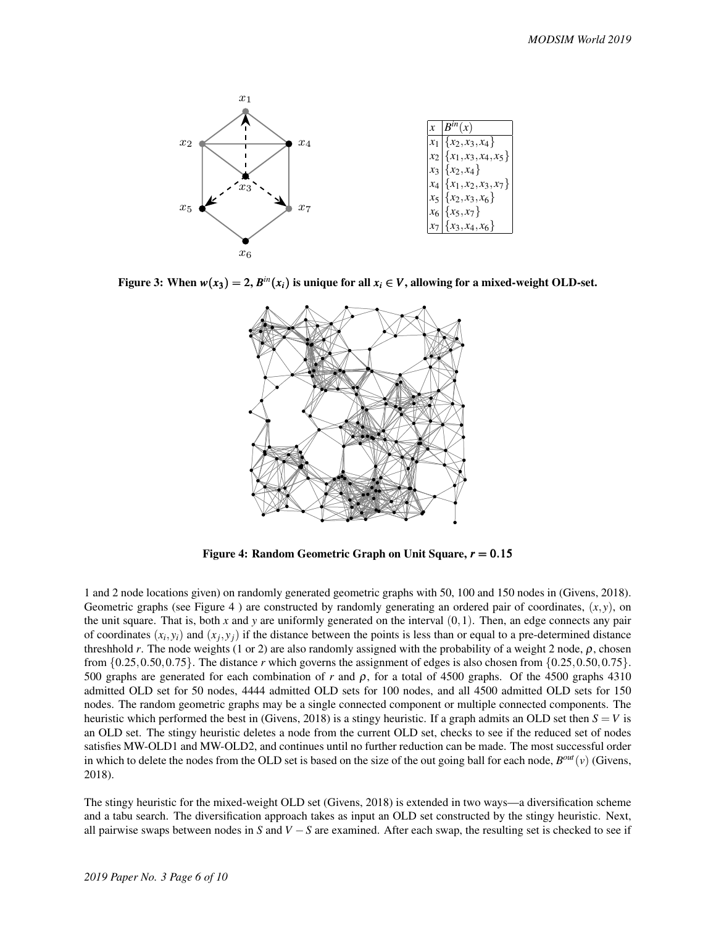

Figure 3: When  $w(x_3) = 2$ ,  $B^{in}(x_i)$  is unique for all  $x_i \in V$ , allowing for a mixed-weight OLD-set.



Figure 4: Random Geometric Graph on Unit Square, *r* = 0.15

1 and 2 node locations given) on randomly generated geometric graphs with 50, 100 and 150 nodes in (Givens, 2018). Geometric graphs (see Figure 4) are constructed by randomly generating an ordered pair of coordinates,  $(x, y)$ , on the unit square. That is, both  $x$  and  $y$  are uniformly generated on the interval  $(0,1)$ . Then, an edge connects any pair of coordinates  $(x_i, y_i)$  and  $(x_j, y_j)$  if the distance between the points is less than or equal to a pre-determined distance threshhold *r*. The node weights (1 or 2) are also randomly assigned with the probability of a weight 2 node,  $\rho$ , chosen from  $\{0.25, 0.50, 0.75\}$ . The distance *r* which governs the assignment of edges is also chosen from  $\{0.25, 0.50, 0.75\}$ . 500 graphs are generated for each combination of *r* and ρ, for a total of 4500 graphs. Of the 4500 graphs 4310 admitted OLD set for 50 nodes, 4444 admitted OLD sets for 100 nodes, and all 4500 admitted OLD sets for 150 nodes. The random geometric graphs may be a single connected component or multiple connected components. The heuristic which performed the best in (Givens, 2018) is a stingy heuristic. If a graph admits an OLD set then  $S = V$  is an OLD set. The stingy heuristic deletes a node from the current OLD set, checks to see if the reduced set of nodes satisfies MW-OLD1 and MW-OLD2, and continues until no further reduction can be made. The most successful order in which to delete the nodes from the OLD set is based on the size of the out going ball for each node,  $B^{out}(v)$  (Givens, 2018).

The stingy heuristic for the mixed-weight OLD set (Givens, 2018) is extended in two ways—a diversification scheme and a tabu search. The diversification approach takes as input an OLD set constructed by the stingy heuristic. Next, all pairwise swaps between nodes in *S* and *V* −*S* are examined. After each swap, the resulting set is checked to see if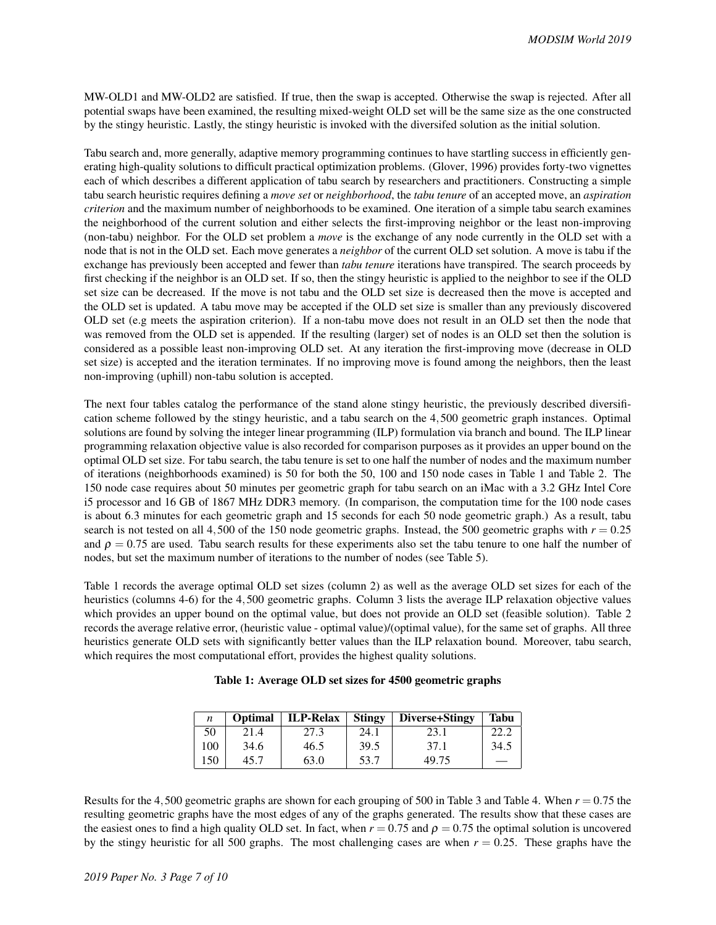MW-OLD1 and MW-OLD2 are satisfied. If true, then the swap is accepted. Otherwise the swap is rejected. After all potential swaps have been examined, the resulting mixed-weight OLD set will be the same size as the one constructed by the stingy heuristic. Lastly, the stingy heuristic is invoked with the diversifed solution as the initial solution.

Tabu search and, more generally, adaptive memory programming continues to have startling success in efficiently generating high-quality solutions to difficult practical optimization problems. (Glover, 1996) provides forty-two vignettes each of which describes a different application of tabu search by researchers and practitioners. Constructing a simple tabu search heuristic requires defining a *move set* or *neighborhood*, the *tabu tenure* of an accepted move, an *aspiration criterion* and the maximum number of neighborhoods to be examined. One iteration of a simple tabu search examines the neighborhood of the current solution and either selects the first-improving neighbor or the least non-improving (non-tabu) neighbor. For the OLD set problem a *move* is the exchange of any node currently in the OLD set with a node that is not in the OLD set. Each move generates a *neighbor* of the current OLD set solution. A move is tabu if the exchange has previously been accepted and fewer than *tabu tenure* iterations have transpired. The search proceeds by first checking if the neighbor is an OLD set. If so, then the stingy heuristic is applied to the neighbor to see if the OLD set size can be decreased. If the move is not tabu and the OLD set size is decreased then the move is accepted and the OLD set is updated. A tabu move may be accepted if the OLD set size is smaller than any previously discovered OLD set (e.g meets the aspiration criterion). If a non-tabu move does not result in an OLD set then the node that was removed from the OLD set is appended. If the resulting (larger) set of nodes is an OLD set then the solution is considered as a possible least non-improving OLD set. At any iteration the first-improving move (decrease in OLD set size) is accepted and the iteration terminates. If no improving move is found among the neighbors, then the least non-improving (uphill) non-tabu solution is accepted.

The next four tables catalog the performance of the stand alone stingy heuristic, the previously described diversification scheme followed by the stingy heuristic, and a tabu search on the 4,500 geometric graph instances. Optimal solutions are found by solving the integer linear programming (ILP) formulation via branch and bound. The ILP linear programming relaxation objective value is also recorded for comparison purposes as it provides an upper bound on the optimal OLD set size. For tabu search, the tabu tenure is set to one half the number of nodes and the maximum number of iterations (neighborhoods examined) is 50 for both the 50, 100 and 150 node cases in Table 1 and Table 2. The 150 node case requires about 50 minutes per geometric graph for tabu search on an iMac with a 3.2 GHz Intel Core i5 processor and 16 GB of 1867 MHz DDR3 memory. (In comparison, the computation time for the 100 node cases is about 6.3 minutes for each geometric graph and 15 seconds for each 50 node geometric graph.) As a result, tabu search is not tested on all 4,500 of the 150 node geometric graphs. Instead, the 500 geometric graphs with  $r = 0.25$ and  $\rho = 0.75$  are used. Tabu search results for these experiments also set the tabu tenure to one half the number of nodes, but set the maximum number of iterations to the number of nodes (see Table 5).

Table 1 records the average optimal OLD set sizes (column 2) as well as the average OLD set sizes for each of the heuristics (columns 4-6) for the 4,500 geometric graphs. Column 3 lists the average ILP relaxation objective values which provides an upper bound on the optimal value, but does not provide an OLD set (feasible solution). Table 2 records the average relative error, (heuristic value - optimal value)/(optimal value), for the same set of graphs. All three heuristics generate OLD sets with significantly better values than the ILP relaxation bound. Moreover, tabu search, which requires the most computational effort, provides the highest quality solutions.

| Table 1: Average OLD set sizes for 4500 geometric graphs |  |  |
|----------------------------------------------------------|--|--|
|----------------------------------------------------------|--|--|

| n   | <b>Optimal</b> | <b>ILP-Relax</b> | Stingy | Diverse+Stingy | <b>Tabu</b> |
|-----|----------------|------------------|--------|----------------|-------------|
| 50  | 21.4           | 27.3             | 24.1   | 23.1           | 22.2        |
| 100 | 34.6           | 46.5             | 39.5   | 37.1           | 34.5        |
| 150 | 45.7           | 63.0             | 53.7   | 49.75          | --          |

Results for the 4,500 geometric graphs are shown for each grouping of 500 in Table 3 and Table 4. When *r* = 0.75 the resulting geometric graphs have the most edges of any of the graphs generated. The results show that these cases are the easiest ones to find a high quality OLD set. In fact, when  $r = 0.75$  and  $\rho = 0.75$  the optimal solution is uncovered by the stingy heuristic for all 500 graphs. The most challenging cases are when  $r = 0.25$ . These graphs have the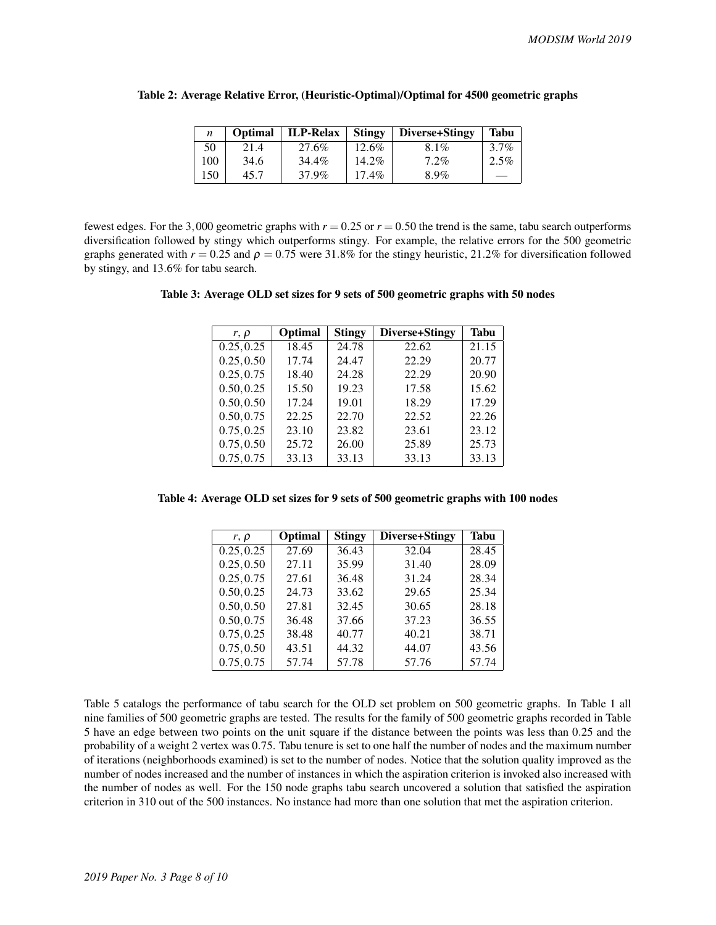| n   | Optimal | <b>ILP-Relax</b> | Stingy   | Diverse+Stingy | <b>Tabu</b> |
|-----|---------|------------------|----------|----------------|-------------|
| 50  | 21.4    | 27.6%            | $12.6\%$ | 8.1%           | $3.7\%$     |
| 100 | 34.6    | 34.4%            | $14.2\%$ | $7.2\%$        | $2.5\%$     |
| 150 | 45.7    | 37.9%            | $17.4\%$ | 8.9%           |             |

#### Table 2: Average Relative Error, (Heuristic-Optimal)/Optimal for 4500 geometric graphs

fewest edges. For the 3,000 geometric graphs with  $r = 0.25$  or  $r = 0.50$  the trend is the same, tabu search outperforms diversification followed by stingy which outperforms stingy. For example, the relative errors for the 500 geometric graphs generated with  $r = 0.25$  and  $\rho = 0.75$  were 31.8% for the stingy heuristic, 21.2% for diversification followed by stingy, and 13.6% for tabu search.

| Table 3: Average OLD set sizes for 9 sets of 500 geometric graphs with 50 nodes |  |  |  |  |  |
|---------------------------------------------------------------------------------|--|--|--|--|--|
|---------------------------------------------------------------------------------|--|--|--|--|--|

| $r, \rho$  | <b>Optimal</b> | <b>Stingy</b> | Diverse+Stingy | Tabu  |
|------------|----------------|---------------|----------------|-------|
| 0.25, 0.25 | 18.45          | 24.78         | 22.62          | 21.15 |
| 0.25, 0.50 | 17.74          | 24.47         | 22.29          | 20.77 |
| 0.25, 0.75 | 18.40          | 24.28         | 22.29          | 20.90 |
| 0.50, 0.25 | 15.50          | 19.23         | 17.58          | 15.62 |
| 0.50, 0.50 | 17.24          | 19.01         | 18.29          | 17.29 |
| 0.50, 0.75 | 22.25          | 22.70         | 22.52          | 22.26 |
| 0.75, 0.25 | 23.10          | 23.82         | 23.61          | 23.12 |
| 0.75, 0.50 | 25.72          | 26.00         | 25.89          | 25.73 |
| 0.75, 0.75 | 33.13          | 33.13         | 33.13          | 33.13 |

Table 4: Average OLD set sizes for 9 sets of 500 geometric graphs with 100 nodes

| $r, \rho$  | Optimal | <b>Stingy</b> | Diverse+Stingy | Tabu  |
|------------|---------|---------------|----------------|-------|
| 0.25, 0.25 | 27.69   | 36.43         | 32.04          | 28.45 |
| 0.25, 0.50 | 27.11   | 35.99         | 31.40          | 28.09 |
| 0.25, 0.75 | 27.61   | 36.48         | 31.24          | 28.34 |
| 0.50, 0.25 | 24.73   | 33.62         | 29.65          | 25.34 |
| 0.50, 0.50 | 27.81   | 32.45         | 30.65          | 28.18 |
| 0.50, 0.75 | 36.48   | 37.66         | 37.23          | 36.55 |
| 0.75, 0.25 | 38.48   | 40.77         | 40.21          | 38.71 |
| 0.75, 0.50 | 43.51   | 44.32         | 44.07          | 43.56 |
| 0.75, 0.75 | 57.74   | 57.78         | 57.76          | 57.74 |

Table 5 catalogs the performance of tabu search for the OLD set problem on 500 geometric graphs. In Table 1 all nine families of 500 geometric graphs are tested. The results for the family of 500 geometric graphs recorded in Table 5 have an edge between two points on the unit square if the distance between the points was less than 0.25 and the probability of a weight 2 vertex was 0.75. Tabu tenure is set to one half the number of nodes and the maximum number of iterations (neighborhoods examined) is set to the number of nodes. Notice that the solution quality improved as the number of nodes increased and the number of instances in which the aspiration criterion is invoked also increased with the number of nodes as well. For the 150 node graphs tabu search uncovered a solution that satisfied the aspiration criterion in 310 out of the 500 instances. No instance had more than one solution that met the aspiration criterion.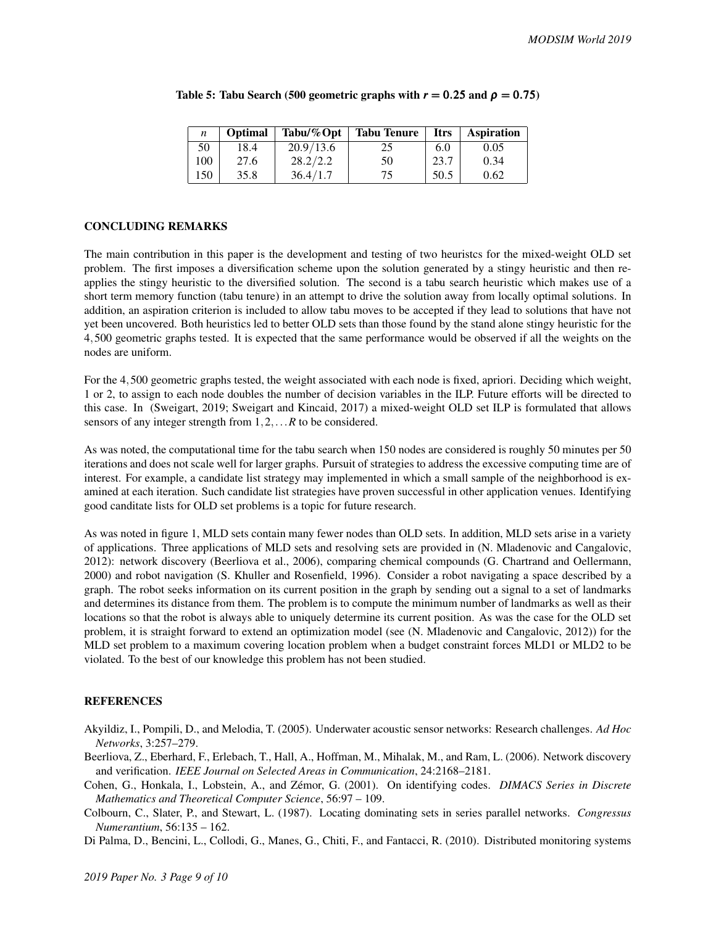|     | <b>Optimal</b> | Tabu/ $%$ Opt | <b>Tabu Tenure</b> | <b>Itrs</b> | <b>Aspiration</b> |
|-----|----------------|---------------|--------------------|-------------|-------------------|
| 50  | 18.4           | 20.9/13.6     | 25                 | 6.0         | 0.05              |
| 100 | 27.6           | 28.2/2.2      | 50                 | 23.7        | 0.34              |
| 150 | 35.8           | 36.4/1.7      | 75                 | 50.5        | 0.62              |

## Table 5: Tabu Search (500 geometric graphs with  $r = 0.25$  and  $\rho = 0.75$ )

## CONCLUDING REMARKS

The main contribution in this paper is the development and testing of two heuristcs for the mixed-weight OLD set problem. The first imposes a diversification scheme upon the solution generated by a stingy heuristic and then reapplies the stingy heuristic to the diversified solution. The second is a tabu search heuristic which makes use of a short term memory function (tabu tenure) in an attempt to drive the solution away from locally optimal solutions. In addition, an aspiration criterion is included to allow tabu moves to be accepted if they lead to solutions that have not yet been uncovered. Both heuristics led to better OLD sets than those found by the stand alone stingy heuristic for the 4,500 geometric graphs tested. It is expected that the same performance would be observed if all the weights on the nodes are uniform.

For the 4,500 geometric graphs tested, the weight associated with each node is fixed, apriori. Deciding which weight, 1 or 2, to assign to each node doubles the number of decision variables in the ILP. Future efforts will be directed to this case. In (Sweigart, 2019; Sweigart and Kincaid, 2017) a mixed-weight OLD set ILP is formulated that allows sensors of any integer strength from 1,2,...*R* to be considered.

As was noted, the computational time for the tabu search when 150 nodes are considered is roughly 50 minutes per 50 iterations and does not scale well for larger graphs. Pursuit of strategies to address the excessive computing time are of interest. For example, a candidate list strategy may implemented in which a small sample of the neighborhood is examined at each iteration. Such candidate list strategies have proven successful in other application venues. Identifying good canditate lists for OLD set problems is a topic for future research.

As was noted in figure 1, MLD sets contain many fewer nodes than OLD sets. In addition, MLD sets arise in a variety of applications. Three applications of MLD sets and resolving sets are provided in (N. Mladenovic and Cangalovic, 2012): network discovery (Beerliova et al., 2006), comparing chemical compounds (G. Chartrand and Oellermann, 2000) and robot navigation (S. Khuller and Rosenfield, 1996). Consider a robot navigating a space described by a graph. The robot seeks information on its current position in the graph by sending out a signal to a set of landmarks and determines its distance from them. The problem is to compute the minimum number of landmarks as well as their locations so that the robot is always able to uniquely determine its current position. As was the case for the OLD set problem, it is straight forward to extend an optimization model (see (N. Mladenovic and Cangalovic, 2012)) for the MLD set problem to a maximum covering location problem when a budget constraint forces MLD1 or MLD2 to be violated. To the best of our knowledge this problem has not been studied.

# **REFERENCES**

- Akyildiz, I., Pompili, D., and Melodia, T. (2005). Underwater acoustic sensor networks: Research challenges. *Ad Hoc Networks*, 3:257–279.
- Beerliova, Z., Eberhard, F., Erlebach, T., Hall, A., Hoffman, M., Mihalak, M., and Ram, L. (2006). Network discovery and verification. *IEEE Journal on Selected Areas in Communication*, 24:2168–2181.
- Cohen, G., Honkala, I., Lobstein, A., and Zémor, G. (2001). On identifying codes. *DIMACS Series in Discrete Mathematics and Theoretical Computer Science*, 56:97 – 109.
- Colbourn, C., Slater, P., and Stewart, L. (1987). Locating dominating sets in series parallel networks. *Congressus Numerantium*, 56:135 – 162.

Di Palma, D., Bencini, L., Collodi, G., Manes, G., Chiti, F., and Fantacci, R. (2010). Distributed monitoring systems